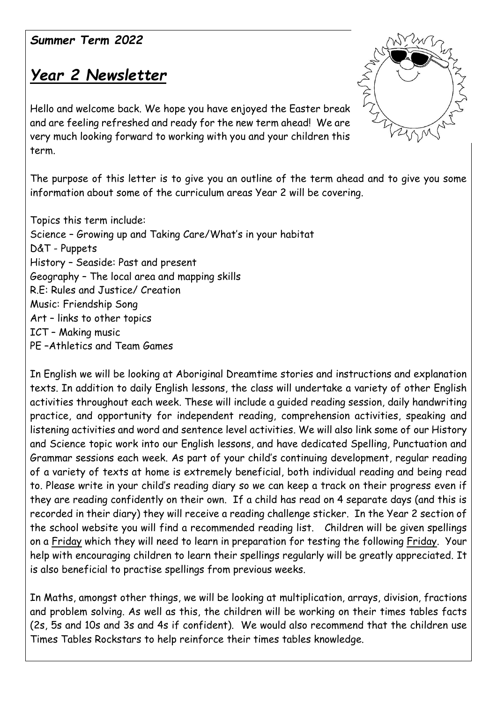## *Summer Term 2022*

## *Year 2 Newsletter*

Hello and welcome back. We hope you have enjoyed the Easter break and are feeling refreshed and ready for the new term ahead! We are very much looking forward to working with you and your children this term.

The purpose of this letter is to give you an outline of the term ahead and to give you some information about some of the curriculum areas Year 2 will be covering.

Topics this term include: Science – Growing up and Taking Care/What's in your habitat D&T - Puppets History – Seaside: Past and present Geography – The local area and mapping skills R.E: Rules and Justice/ Creation Music: Friendship Song Art – links to other topics ICT – Making music PE –Athletics and Team Games

In English we will be looking at Aboriginal Dreamtime stories and instructions and explanation texts. In addition to daily English lessons, the class will undertake a variety of other English activities throughout each week. These will include a guided reading session, daily handwriting practice, and opportunity for independent reading, comprehension activities, speaking and listening activities and word and sentence level activities. We will also link some of our History and Science topic work into our English lessons, and have dedicated Spelling, Punctuation and Grammar sessions each week. As part of your child's continuing development, regular reading of a variety of texts at home is extremely beneficial, both individual reading and being read to. Please write in your child's reading diary so we can keep a track on their progress even if they are reading confidently on their own. If a child has read on 4 separate days (and this is recorded in their diary) they will receive a reading challenge sticker. In the Year 2 section of the school website you will find a recommended reading list. Children will be given spellings on a Friday which they will need to learn in preparation for testing the following Friday. Your help with encouraging children to learn their spellings regularly will be greatly appreciated. It is also beneficial to practise spellings from previous weeks.

In Maths, amongst other things, we will be looking at multiplication, arrays, division, fractions and problem solving. As well as this, the children will be working on their times tables facts (2s, 5s and 10s and 3s and 4s if confident). We would also recommend that the children use Times Tables Rockstars to help reinforce their times tables knowledge.